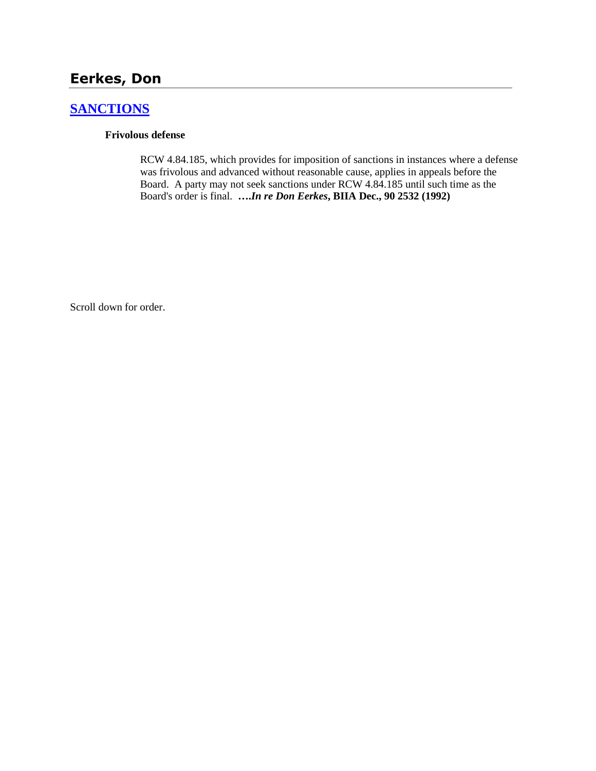# **Eerkes, Don**

# **[SANCTIONS](http://www.biia.wa.gov/SDSubjectIndex.html#SANCTIONS)**

#### **Frivolous defense**

RCW 4.84.185, which provides for imposition of sanctions in instances where a defense was frivolous and advanced without reasonable cause, applies in appeals before the Board. A party may not seek sanctions under RCW 4.84.185 until such time as the Board's order is final. **….***In re Don Eerkes***, BIIA Dec., 90 2532 (1992)** 

Scroll down for order.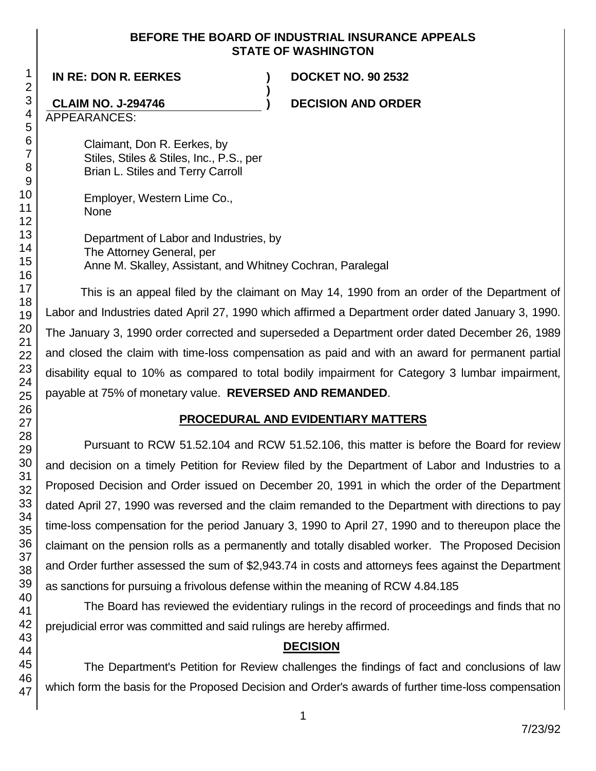### **BEFORE THE BOARD OF INDUSTRIAL INSURANCE APPEALS STATE OF WASHINGTON**

**)**

**IN RE: DON R. EERKES ) DOCKET NO. 90 2532**

# **CLAIM NO. J-294746 ) DECISION AND ORDER**

APPEARANCES:

Claimant, Don R. Eerkes, by Stiles, Stiles & Stiles, Inc., P.S., per Brian L. Stiles and Terry Carroll

Employer, Western Lime Co., None

Department of Labor and Industries, by The Attorney General, per Anne M. Skalley, Assistant, and Whitney Cochran, Paralegal

This is an appeal filed by the claimant on May 14, 1990 from an order of the Department of Labor and Industries dated April 27, 1990 which affirmed a Department order dated January 3, 1990. The January 3, 1990 order corrected and superseded a Department order dated December 26, 1989 and closed the claim with time-loss compensation as paid and with an award for permanent partial disability equal to 10% as compared to total bodily impairment for Category 3 lumbar impairment, payable at 75% of monetary value. **REVERSED AND REMANDED**.

## **PROCEDURAL AND EVIDENTIARY MATTERS**

Pursuant to RCW 51.52.104 and RCW 51.52.106, this matter is before the Board for review and decision on a timely Petition for Review filed by the Department of Labor and Industries to a Proposed Decision and Order issued on December 20, 1991 in which the order of the Department dated April 27, 1990 was reversed and the claim remanded to the Department with directions to pay time-loss compensation for the period January 3, 1990 to April 27, 1990 and to thereupon place the claimant on the pension rolls as a permanently and totally disabled worker. The Proposed Decision and Order further assessed the sum of \$2,943.74 in costs and attorneys fees against the Department as sanctions for pursuing a frivolous defense within the meaning of RCW 4.84.185

The Board has reviewed the evidentiary rulings in the record of proceedings and finds that no prejudicial error was committed and said rulings are hereby affirmed.

## **DECISION**

The Department's Petition for Review challenges the findings of fact and conclusions of law which form the basis for the Proposed Decision and Order's awards of further time-loss compensation

1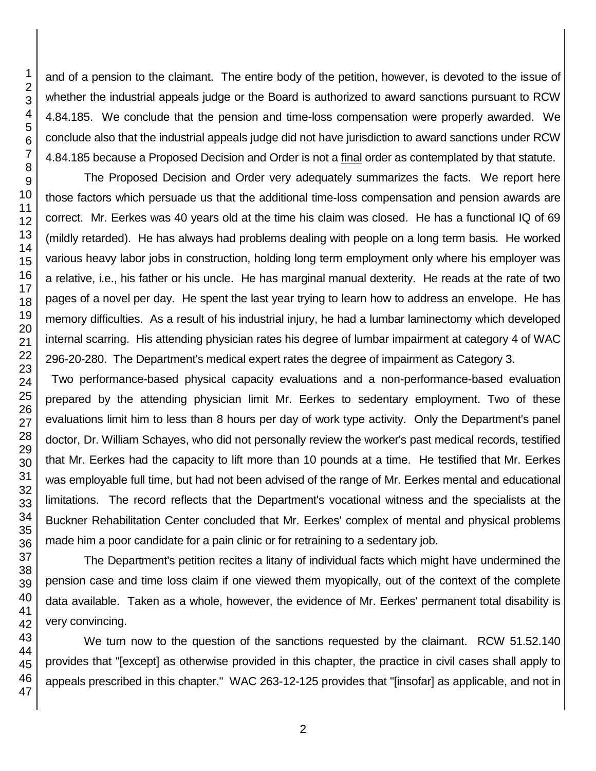and of a pension to the claimant. The entire body of the petition, however, is devoted to the issue of whether the industrial appeals judge or the Board is authorized to award sanctions pursuant to RCW 4.84.185. We conclude that the pension and time-loss compensation were properly awarded. We conclude also that the industrial appeals judge did not have jurisdiction to award sanctions under RCW 4.84.185 because a Proposed Decision and Order is not a final order as contemplated by that statute.

The Proposed Decision and Order very adequately summarizes the facts. We report here those factors which persuade us that the additional time-loss compensation and pension awards are correct. Mr. Eerkes was 40 years old at the time his claim was closed. He has a functional IQ of 69 (mildly retarded). He has always had problems dealing with people on a long term basis. He worked various heavy labor jobs in construction, holding long term employment only where his employer was a relative, i.e., his father or his uncle. He has marginal manual dexterity. He reads at the rate of two pages of a novel per day. He spent the last year trying to learn how to address an envelope. He has memory difficulties. As a result of his industrial injury, he had a lumbar laminectomy which developed internal scarring. His attending physician rates his degree of lumbar impairment at category 4 of WAC 296-20-280. The Department's medical expert rates the degree of impairment as Category 3.

 Two performance-based physical capacity evaluations and a non-performance-based evaluation prepared by the attending physician limit Mr. Eerkes to sedentary employment. Two of these evaluations limit him to less than 8 hours per day of work type activity. Only the Department's panel doctor, Dr. William Schayes, who did not personally review the worker's past medical records, testified that Mr. Eerkes had the capacity to lift more than 10 pounds at a time. He testified that Mr. Eerkes was employable full time, but had not been advised of the range of Mr. Eerkes mental and educational limitations. The record reflects that the Department's vocational witness and the specialists at the Buckner Rehabilitation Center concluded that Mr. Eerkes' complex of mental and physical problems made him a poor candidate for a pain clinic or for retraining to a sedentary job.

The Department's petition recites a litany of individual facts which might have undermined the pension case and time loss claim if one viewed them myopically, out of the context of the complete data available. Taken as a whole, however, the evidence of Mr. Eerkes' permanent total disability is very convincing.

We turn now to the question of the sanctions requested by the claimant. RCW 51.52.140 provides that "[except] as otherwise provided in this chapter, the practice in civil cases shall apply to appeals prescribed in this chapter." WAC 263-12-125 provides that "[insofar] as applicable, and not in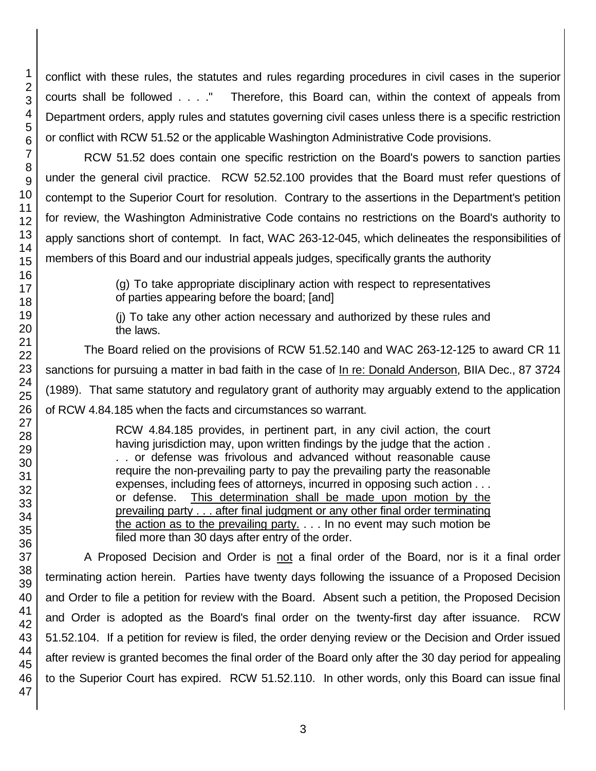conflict with these rules, the statutes and rules regarding procedures in civil cases in the superior courts shall be followed . . . ." Therefore, this Board can, within the context of appeals from Department orders, apply rules and statutes governing civil cases unless there is a specific restriction or conflict with RCW 51.52 or the applicable Washington Administrative Code provisions.

RCW 51.52 does contain one specific restriction on the Board's powers to sanction parties under the general civil practice. RCW 52.52.100 provides that the Board must refer questions of contempt to the Superior Court for resolution. Contrary to the assertions in the Department's petition for review, the Washington Administrative Code contains no restrictions on the Board's authority to apply sanctions short of contempt. In fact, WAC 263-12-045, which delineates the responsibilities of members of this Board and our industrial appeals judges, specifically grants the authority

> (g) To take appropriate disciplinary action with respect to representatives of parties appearing before the board; [and]

> (j) To take any other action necessary and authorized by these rules and the laws.

The Board relied on the provisions of RCW 51.52.140 and WAC 263-12-125 to award CR 11 sanctions for pursuing a matter in bad faith in the case of In re: Donald Anderson, BIIA Dec., 87 3724 (1989). That same statutory and regulatory grant of authority may arguably extend to the application of RCW 4.84.185 when the facts and circumstances so warrant.

> RCW 4.84.185 provides, in pertinent part, in any civil action, the court having jurisdiction may, upon written findings by the judge that the action . . . or defense was frivolous and advanced without reasonable cause require the non-prevailing party to pay the prevailing party the reasonable expenses, including fees of attorneys, incurred in opposing such action . . . or defense. This determination shall be made upon motion by the prevailing party . . . after final judgment or any other final order terminating the action as to the prevailing party. . . . In no event may such motion be filed more than 30 days after entry of the order.

A Proposed Decision and Order is not a final order of the Board, nor is it a final order terminating action herein. Parties have twenty days following the issuance of a Proposed Decision and Order to file a petition for review with the Board. Absent such a petition, the Proposed Decision and Order is adopted as the Board's final order on the twenty-first day after issuance. RCW 51.52.104. If a petition for review is filed, the order denying review or the Decision and Order issued after review is granted becomes the final order of the Board only after the 30 day period for appealing to the Superior Court has expired. RCW 51.52.110. In other words, only this Board can issue final

1